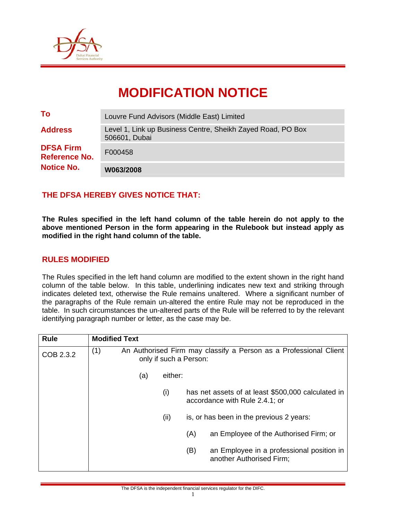

# **MODIFICATION NOTICE**

| <b>Notice No.</b>                        | W063/2008                                                                    |
|------------------------------------------|------------------------------------------------------------------------------|
| <b>DFSA Firm</b><br><b>Reference No.</b> | F000458                                                                      |
| <b>Address</b>                           | Level 1, Link up Business Centre, Sheikh Zayed Road, PO Box<br>506601, Dubai |
| To                                       | Louvre Fund Advisors (Middle East) Limited                                   |

## **THE DFSA HEREBY GIVES NOTICE THAT:**

**The Rules specified in the left hand column of the table herein do not apply to the above mentioned Person in the form appearing in the Rulebook but instead apply as modified in the right hand column of the table.** 

### **RULES MODIFIED**

The Rules specified in the left hand column are modified to the extent shown in the right hand column of the table below. In this table, underlining indicates new text and striking through indicates deleted text, otherwise the Rule remains unaltered. Where a significant number of the paragraphs of the Rule remain un-altered the entire Rule may not be reproduced in the table. In such circumstances the un-altered parts of the Rule will be referred to by the relevant identifying paragraph number or letter, as the case may be.

| <b>Rule</b> | <b>Modified Text</b>                                                                               |     |         |     |                                                                                      |
|-------------|----------------------------------------------------------------------------------------------------|-----|---------|-----|--------------------------------------------------------------------------------------|
| COB 2.3.2   | (1)<br>An Authorised Firm may classify a Person as a Professional Client<br>only if such a Person: |     |         |     |                                                                                      |
|             |                                                                                                    | (a) | either: |     |                                                                                      |
|             |                                                                                                    |     | (i)     |     | has net assets of at least \$500,000 calculated in<br>accordance with Rule 2.4.1; or |
|             |                                                                                                    |     | (ii)    |     | is, or has been in the previous 2 years:                                             |
|             |                                                                                                    |     |         | (A) | an Employee of the Authorised Firm; or                                               |
|             |                                                                                                    |     |         | (B) | an Employee in a professional position in<br>another Authorised Firm;                |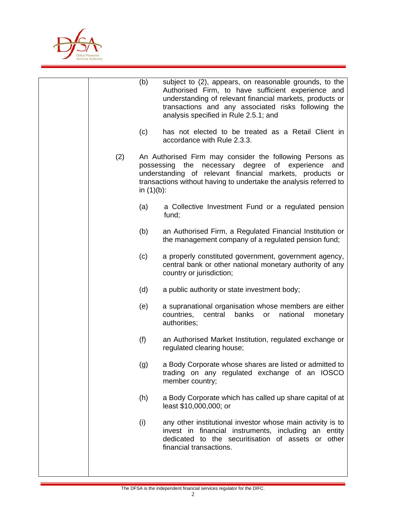

|     | (b)           | subject to (2), appears, on reasonable grounds, to the<br>Authorised Firm, to have sufficient experience and<br>understanding of relevant financial markets, products or<br>transactions and any associated risks following the<br>analysis specified in Rule 2.5.1; and |
|-----|---------------|--------------------------------------------------------------------------------------------------------------------------------------------------------------------------------------------------------------------------------------------------------------------------|
|     | (c)           | has not elected to be treated as a Retail Client in<br>accordance with Rule 2.3.3.                                                                                                                                                                                       |
| (2) | in $(1)(b)$ : | An Authorised Firm may consider the following Persons as<br>possessing the necessary degree<br>of experience and<br>understanding of relevant financial markets, products or<br>transactions without having to undertake the analysis referred to                        |
|     | (a)           | a Collective Investment Fund or a regulated pension<br>fund;                                                                                                                                                                                                             |
|     | (b)           | an Authorised Firm, a Regulated Financial Institution or<br>the management company of a regulated pension fund;                                                                                                                                                          |
|     | (c)           | a properly constituted government, government agency,<br>central bank or other national monetary authority of any<br>country or jurisdiction;                                                                                                                            |
|     | (d)           | a public authority or state investment body;                                                                                                                                                                                                                             |
|     | (e)           | a supranational organisation whose members are either<br>countries,<br>central<br>banks<br>national<br>or<br>monetary<br>authorities;                                                                                                                                    |
|     | (f)           | an Authorised Market Institution, regulated exchange or<br>regulated clearing house;                                                                                                                                                                                     |
|     | (g)           | a Body Corporate whose shares are listed or admitted to<br>trading on any regulated exchange of an IOSCO<br>member country;                                                                                                                                              |
|     | (h)           | a Body Corporate which has called up share capital of at<br>least \$10,000,000; or                                                                                                                                                                                       |
|     | (i)           | any other institutional investor whose main activity is to<br>invest in financial instruments, including an entity<br>dedicated to the securitisation of assets or other<br>financial transactions.                                                                      |
|     |               |                                                                                                                                                                                                                                                                          |